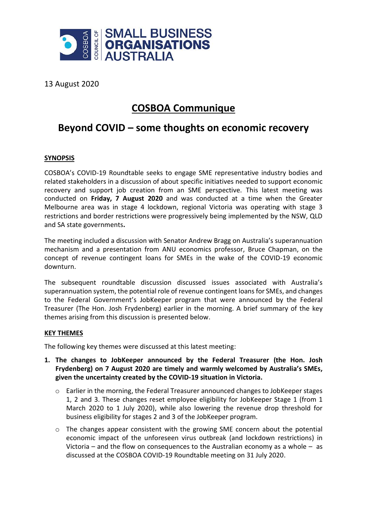

13 August 2020

# **COSBOA Communique**

# **Beyond COVID – some thoughts on economic recovery**

# **SYNOPSIS**

COSBOA's COVID-19 Roundtable seeks to engage SME representative industry bodies and related stakeholders in a discussion of about specific initiatives needed to support economic recovery and support job creation from an SME perspective. This latest meeting was conducted on **Friday, 7 August 2020** and was conducted at a time when the Greater Melbourne area was in stage 4 lockdown, regional Victoria was operating with stage 3 restrictions and border restrictions were progressively being implemented by the NSW, QLD and SA state governments**.**

The meeting included a discussion with Senator Andrew Bragg on Australia's superannuation mechanism and a presentation from ANU economics professor, Bruce Chapman, on the concept of revenue contingent loans for SMEs in the wake of the COVID-19 economic downturn.

The subsequent roundtable discussion discussed issues associated with Australia's superannuation system, the potential role of revenue contingent loans for SMEs, and changes to the Federal Government's JobKeeper program that were announced by the Federal Treasurer (The Hon. Josh Frydenberg) earlier in the morning. A brief summary of the key themes arising from this discussion is presented below.

#### **KEY THEMES**

The following key themes were discussed at this latest meeting:

- **1. The changes to JobKeeper announced by the Federal Treasurer (the Hon. Josh Frydenberg) on 7 August 2020 are timely and warmly welcomed by Australia's SMEs, given the uncertainty created by the COVID-19 situation in Victoria.**
	- o Earlier in the morning, the Federal Treasurer announced changes to JobKeeper stages 1, 2 and 3. These changes reset employee eligibility for JobKeeper Stage 1 (from 1 March 2020 to 1 July 2020), while also lowering the revenue drop threshold for business eligibility for stages 2 and 3 of the JobKeeper program.
	- $\circ$  The changes appear consistent with the growing SME concern about the potential economic impact of the unforeseen virus outbreak (and lockdown restrictions) in Victoria – and the flow on consequences to the Australian economy as a whole – as discussed at the COSBOA COVID-19 Roundtable meeting on 31 July 2020.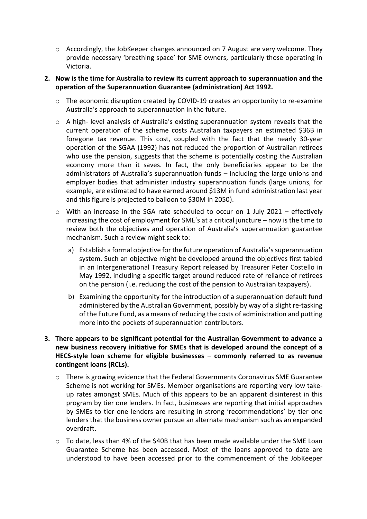$\circ$  Accordingly, the JobKeeper changes announced on 7 August are very welcome. They provide necessary 'breathing space' for SME owners, particularly those operating in Victoria.

### **2. Now is the time for Australia to review its current approach to superannuation and the operation of the Superannuation Guarantee (administration) Act 1992.**

- o The economic disruption created by COVID-19 creates an opportunity to re-examine Australia's approach to superannuation in the future.
- o A high- level analysis of Australia's existing superannuation system reveals that the current operation of the scheme costs Australian taxpayers an estimated \$36B in foregone tax revenue. This cost, coupled with the fact that the nearly 30-year operation of the SGAA (1992) has not reduced the proportion of Australian retirees who use the pension, suggests that the scheme is potentially costing the Australian economy more than it saves. In fact, the only beneficiaries appear to be the administrators of Australia's superannuation funds – including the large unions and employer bodies that administer industry superannuation funds (large unions, for example, are estimated to have earned around \$13M in fund administration last year and this figure is projected to balloon to \$30M in 2050).
- o With an increase in the SGA rate scheduled to occur on 1 July 2021 effectively increasing the cost of employment for SME's at a critical juncture – now is the time to review both the objectives and operation of Australia's superannuation guarantee mechanism. Such a review might seek to:
	- a) Establish a formal objective for the future operation of Australia's superannuation system. Such an objective might be developed around the objectives first tabled in an Intergenerational Treasury Report released by Treasurer Peter Costello in May 1992, including a specific target around reduced rate of reliance of retirees on the pension (i.e. reducing the cost of the pension to Australian taxpayers).
	- b) Examining the opportunity for the introduction of a superannuation default fund administered by the Australian Government, possibly by way of a slight re-tasking of the Future Fund, as a means of reducing the costs of administration and putting more into the pockets of superannuation contributors.

## **3. There appears to be significant potential for the Australian Government to advance a new business recovery initiative for SMEs that is developed around the concept of a HECS-style loan scheme for eligible businesses – commonly referred to as revenue contingent loans (RCLs).**

- o There is growing evidence that the Federal Governments Coronavirus SME Guarantee Scheme is not working for SMEs. Member organisations are reporting very low takeup rates amongst SMEs. Much of this appears to be an apparent disinterest in this program by tier one lenders. In fact, businesses are reporting that initial approaches by SMEs to tier one lenders are resulting in strong 'recommendations' by tier one lenders that the business owner pursue an alternate mechanism such as an expanded overdraft.
- o To date, less than 4% of the \$40B that has been made available under the SME Loan Guarantee Scheme has been accessed. Most of the loans approved to date are understood to have been accessed prior to the commencement of the JobKeeper